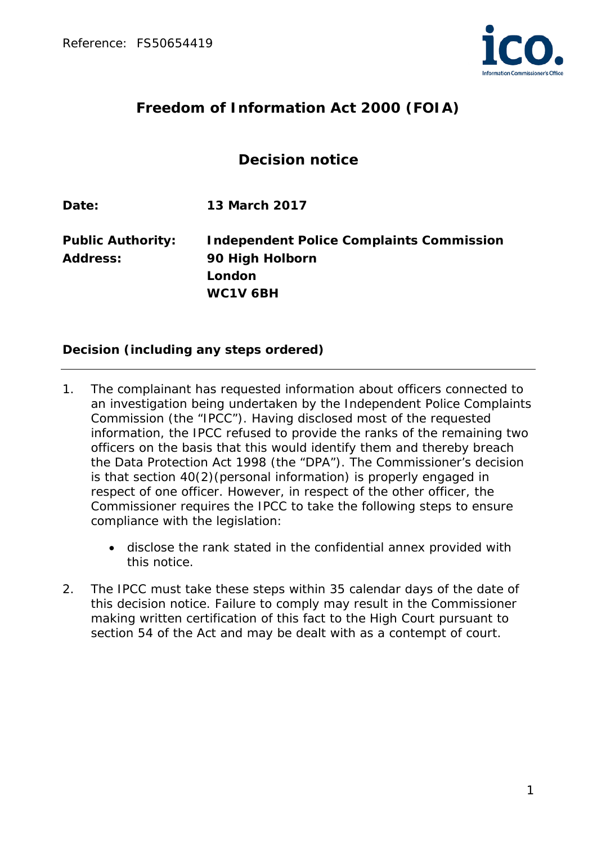

# **Freedom of Information Act 2000 (FOIA)**

## **Decision notice**

**Date: 13 March 2017**

**Public Authority: Independent Police Complaints Commission Address: 90 High Holborn London WC1V 6BH**

#### **Decision (including any steps ordered)**

- 1. The complainant has requested information about officers connected to an investigation being undertaken by the Independent Police Complaints Commission (the "IPCC"). Having disclosed most of the requested information, the IPCC refused to provide the ranks of the remaining two officers on the basis that this would identify them and thereby breach the Data Protection Act 1998 (the "DPA"). The Commissioner's decision is that section 40(2)(personal information) is properly engaged in respect of one officer. However, in respect of the other officer, the Commissioner requires the IPCC to take the following steps to ensure compliance with the legislation:
	- disclose the rank stated in the confidential annex provided with this notice.
- 2. The IPCC must take these steps within 35 calendar days of the date of this decision notice. Failure to comply may result in the Commissioner making written certification of this fact to the High Court pursuant to section 54 of the Act and may be dealt with as a contempt of court.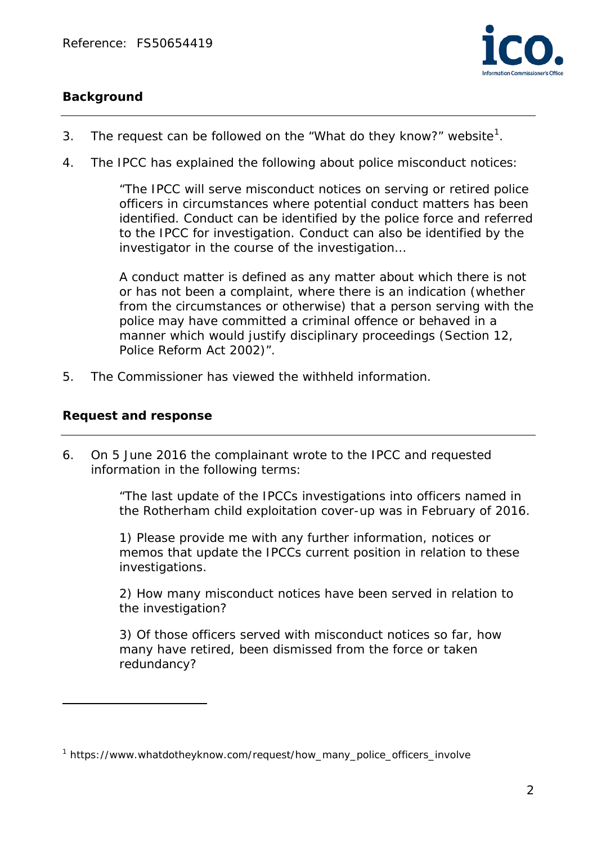

## **Background**

- 3. The request can be followed on the "*What do they know?*" website<sup>[1](#page-1-0)</sup>.
- 4. The IPCC has explained the following about police misconduct notices:

*"The IPCC will serve misconduct notices on serving or retired police officers in circumstances where potential conduct matters has been identified. Conduct can be identified by the police force and referred to the IPCC for investigation. Conduct can also be identified by the investigator in the course of the investigation…*

*A conduct matter is defined as any matter about which there is not or has not been a complaint, where there is an indication (whether from the circumstances or otherwise) that a person serving with the police may have committed a criminal offence or behaved in a manner which would justify disciplinary proceedings (Section 12, Police Reform Act 2002)".*

5. The Commissioner has viewed the withheld information.

#### **Request and response**

l

6. On 5 June 2016 the complainant wrote to the IPCC and requested information in the following terms:

> *"The last update of the IPCCs investigations into officers named in the Rotherham child exploitation cover-up was in February of 2016.*

*1) Please provide me with any further information, notices or memos that update the IPCCs current position in relation to these investigations.*

*2) How many misconduct notices have been served in relation to the investigation?*

*3) Of those officers served with misconduct notices so far, how many have retired, been dismissed from the force or taken redundancy?*

<span id="page-1-0"></span> $1$  https://www.whatdotheyknow.com/request/how\_many\_police\_officers\_involve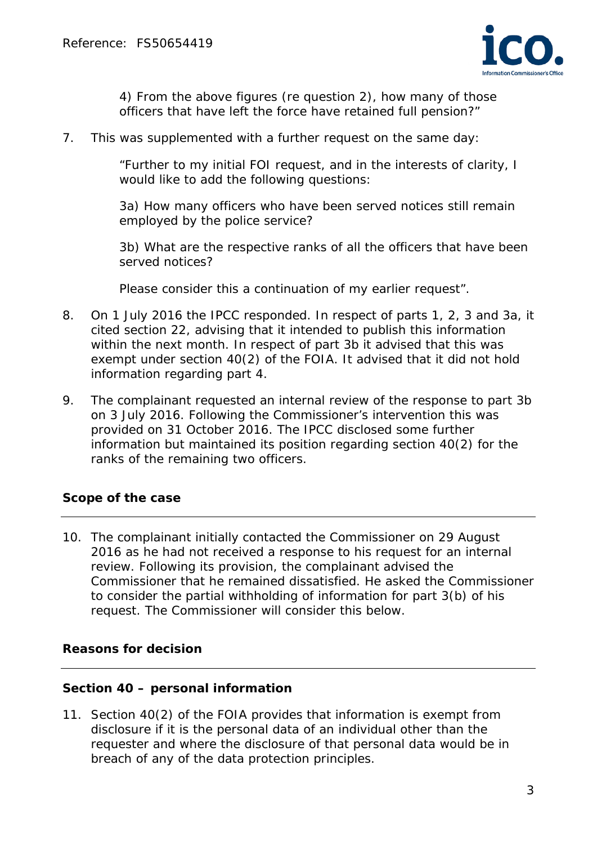

*4) From the above figures (re question 2), how many of those officers that have left the force have retained full pension?"*

7. This was supplemented with a further request on the same day:

"*Further to my initial FOI request, and in the interests of clarity, I would like to add the following questions:*

*3a) How many officers who have been served notices still remain employed by the police service?* 

*3b) What are the respective ranks of all the officers that have been served notices?*

*Please consider this a continuation of my earlier request".*

- 8. On 1 July 2016 the IPCC responded. In respect of parts 1, 2, 3 and 3a, it cited section 22, advising that it intended to publish this information within the next month. In respect of part 3b it advised that this was exempt under section 40(2) of the FOIA. It advised that it did not hold information regarding part 4.
- 9. The complainant requested an internal review of the response to part 3b on 3 July 2016. Following the Commissioner's intervention this was provided on 31 October 2016. The IPCC disclosed some further information but maintained its position regarding section 40(2) for the ranks of the remaining two officers.

#### **Scope of the case**

10. The complainant initially contacted the Commissioner on 29 August 2016 as he had not received a response to his request for an internal review. Following its provision, the complainant advised the Commissioner that he remained dissatisfied. He asked the Commissioner to consider the partial withholding of information for part 3(b) of his request. The Commissioner will consider this below.

#### **Reasons for decision**

#### **Section 40 – personal information**

11. Section 40(2) of the FOIA provides that information is exempt from disclosure if it is the personal data of an individual other than the requester and where the disclosure of that personal data would be in breach of any of the data protection principles.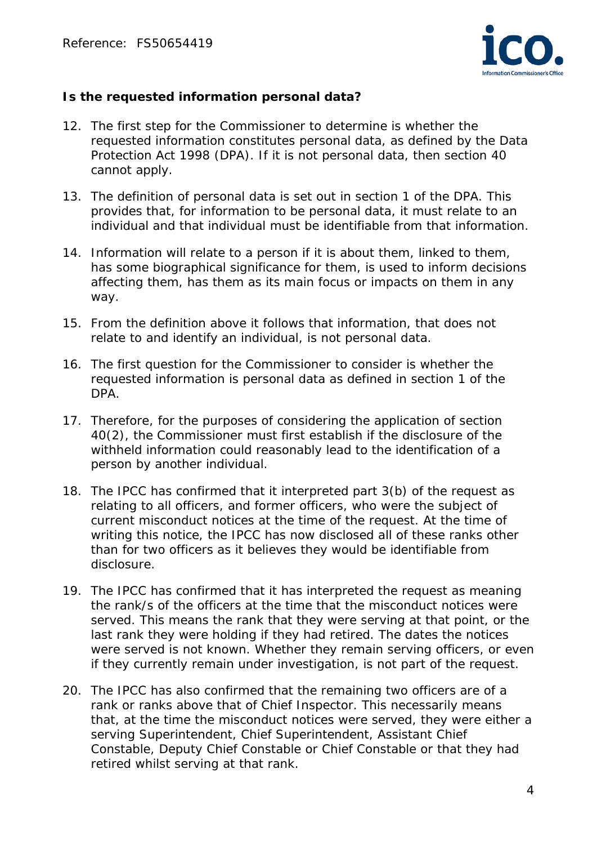

### **Is the requested information personal data?**

- 12. The first step for the Commissioner to determine is whether the requested information constitutes personal data, as defined by the Data Protection Act 1998 (DPA). If it is not personal data, then section 40 cannot apply.
- 13. The definition of personal data is set out in section 1 of the DPA. This provides that, for information to be personal data, it must relate to an individual and that individual must be identifiable from that information.
- 14. Information will relate to a person if it is about them, linked to them, has some biographical significance for them, is used to inform decisions affecting them, has them as its main focus or impacts on them in any way.
- 15. From the definition above it follows that information, that does not relate to and identify an individual, is not personal data.
- 16. The first question for the Commissioner to consider is whether the requested information is personal data as defined in section 1 of the DPA.
- 17. Therefore, for the purposes of considering the application of section 40(2), the Commissioner must first establish if the disclosure of the withheld information could reasonably lead to the identification of a person by another individual.
- 18. The IPCC has confirmed that it interpreted part 3(b) of the request as relating to all officers, and former officers, who were the subject of current misconduct notices at the time of the request. At the time of writing this notice, the IPCC has now disclosed all of these ranks other than for two officers as it believes they would be identifiable from disclosure.
- 19. The IPCC has confirmed that it has interpreted the request as meaning the rank/s of the officers at the time that the misconduct notices were served. This means the rank that they were serving at that point, or the last rank they were holding if they had retired. The dates the notices were served is not known. Whether they remain serving officers, or even if they currently remain under investigation, is not part of the request.
- 20. The IPCC has also confirmed that the remaining two officers are of a rank or ranks above that of Chief Inspector. This necessarily means that, at the time the misconduct notices were served, they were either a serving Superintendent, Chief Superintendent, Assistant Chief Constable, Deputy Chief Constable or Chief Constable or that they had retired whilst serving at that rank.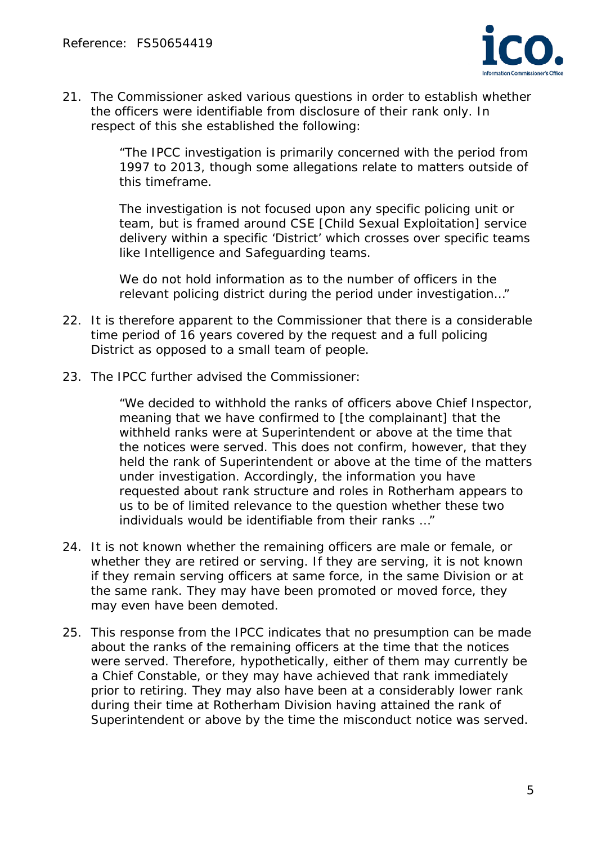

21. The Commissioner asked various questions in order to establish whether the officers were identifiable from disclosure of their rank only. In respect of this she established the following:

> *"The IPCC investigation is primarily concerned with the period from 1997 to 2013, though some allegations relate to matters outside of this timeframe.*

> *The investigation is not focused upon any specific policing unit or team, but is framed around CSE* [Child Sexual Exploitation] *service delivery within a specific 'District' which crosses over specific teams like Intelligence and Safeguarding teams.*

*We do not hold information as to the number of officers in the relevant policing district during the period under investigation…"*

- 22. It is therefore apparent to the Commissioner that there is a considerable time period of 16 years covered by the request and a full policing District as opposed to a small team of people.
- 23. The IPCC further advised the Commissioner:

*"We decided to withhold the ranks of officers above Chief Inspector, meaning that we have confirmed to* [the complainant] *that the withheld ranks were at Superintendent or above at the time that the notices were served. This does not confirm, however, that they held the rank of Superintendent or above at the time of the matters under investigation. Accordingly, the information you have requested about rank structure and roles in Rotherham appears to us to be of limited relevance to the question whether these two individuals would be identifiable from their ranks …"*

- 24. It is not known whether the remaining officers are male or female, or whether they are retired or serving. If they are serving, it is not known if they remain serving officers at same force, in the same Division or at the same rank. They may have been promoted or moved force, they may even have been demoted.
- 25. This response from the IPCC indicates that no presumption can be made about the ranks of the remaining officers at the time that the notices were served. Therefore, hypothetically, either of them may currently be a Chief Constable, or they may have achieved that rank immediately prior to retiring. They may also have been at a considerably lower rank during their time at Rotherham Division having attained the rank of Superintendent or above by the time the misconduct notice was served.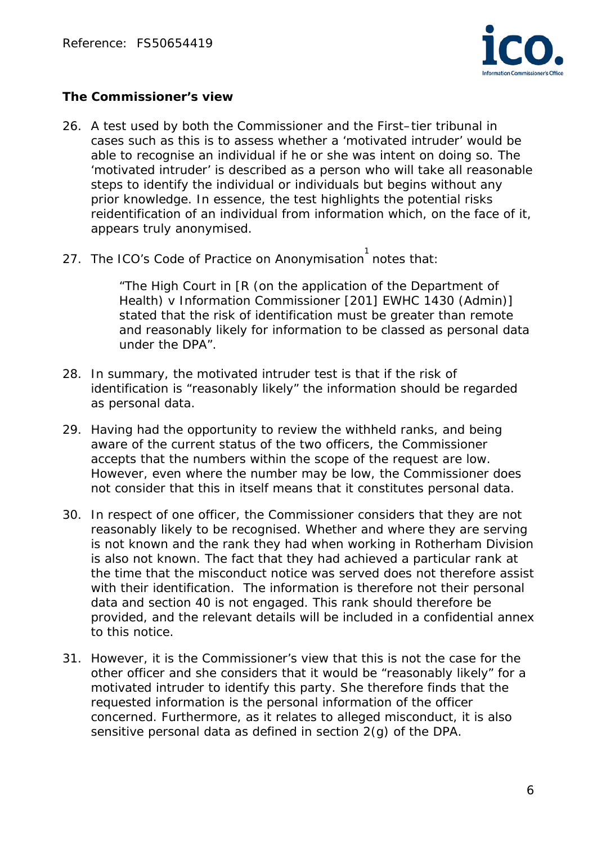

#### *The Commissioner's view*

- 26. A test used by both the Commissioner and the First–tier tribunal in cases such as this is to assess whether a 'motivated intruder' would be able to recognise an individual if he or she was intent on doing so. The 'motivated intruder' is described as a person who will take all reasonable steps to identify the individual or individuals but begins without any prior knowledge. In essence, the test highlights the potential risks reidentification of an individual from information which, on the face of it, appears truly anonymised.
- 27. The ICO's Code of Practice on Anonymisation 1notes that:

*"The High Court in [R (on the application of the Department of Health) v Information Commissioner [201] EWHC 1430 (Admin)] stated that the risk of identification must be greater than remote and reasonably likely for information to be classed as personal data under the DPA".* 

- 28. In summary, the motivated intruder test is that if the risk of identification is "*reasonably likely"* the information should be regarded as personal data.
- 29. Having had the opportunity to review the withheld ranks, and being aware of the current status of the two officers, the Commissioner accepts that the numbers within the scope of the request are low. However, even where the number may be low, the Commissioner does not consider that this in itself means that it constitutes personal data.
- 30. In respect of one officer, the Commissioner considers that they are not reasonably likely to be recognised. Whether and where they are serving is not known and the rank they had when working in Rotherham Division is also not known. The fact that they had achieved a particular rank at the time that the misconduct notice was served does not therefore assist with their identification. The information is therefore not their personal data and section 40 is not engaged. This rank should therefore be provided, and the relevant details will be included in a confidential annex to this notice.
- 31. However, it is the Commissioner's view that this is not the case for the other officer and she considers that it would be "reasonably likely" for a motivated intruder to identify this party. She therefore finds that the requested information is the personal information of the officer concerned. Furthermore, as it relates to alleged misconduct, it is also sensitive personal data as defined in section 2(g) of the DPA.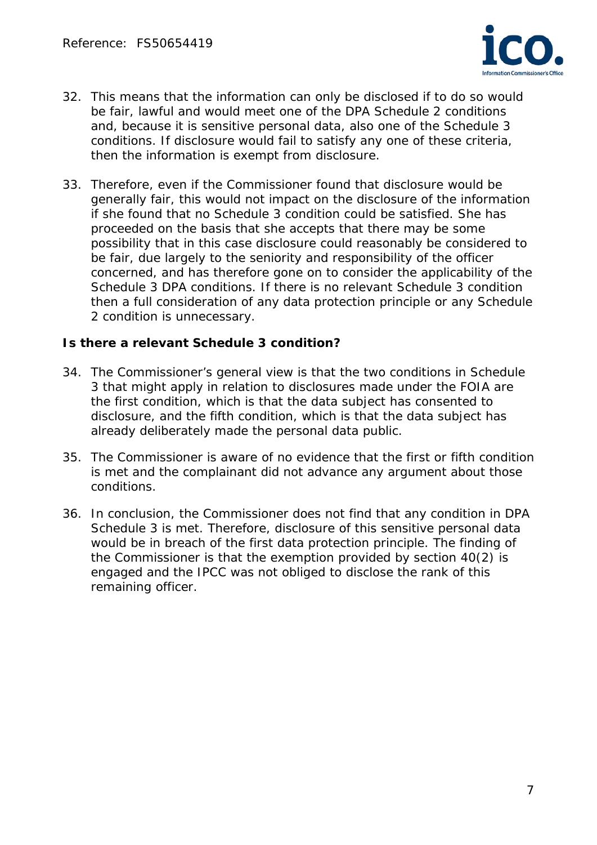

- 32. This means that the information can only be disclosed if to do so would be fair, lawful and would meet one of the DPA Schedule 2 conditions and, because it is sensitive personal data, also one of the Schedule 3 conditions. If disclosure would fail to satisfy any one of these criteria, then the information is exempt from disclosure.
- 33. Therefore, even if the Commissioner found that disclosure would be generally fair, this would not impact on the disclosure of the information if she found that no Schedule 3 condition could be satisfied. She has proceeded on the basis that she accepts that there may be some possibility that in this case disclosure could reasonably be considered to be fair, due largely to the seniority and responsibility of the officer concerned, and has therefore gone on to consider the applicability of the Schedule 3 DPA conditions. If there is no relevant Schedule 3 condition then a full consideration of any data protection principle or any Schedule 2 condition is unnecessary.

#### **Is there a relevant Schedule 3 condition?**

- 34. The Commissioner's general view is that the two conditions in Schedule 3 that might apply in relation to disclosures made under the FOIA are the first condition, which is that the data subject has consented to disclosure, and the fifth condition, which is that the data subject has already deliberately made the personal data public.
- 35. The Commissioner is aware of no evidence that the first or fifth condition is met and the complainant did not advance any argument about those conditions.
- 36. In conclusion, the Commissioner does not find that any condition in DPA Schedule 3 is met. Therefore, disclosure of this sensitive personal data would be in breach of the first data protection principle. The finding of the Commissioner is that the exemption provided by section 40(2) is engaged and the IPCC was not obliged to disclose the rank of this remaining officer.